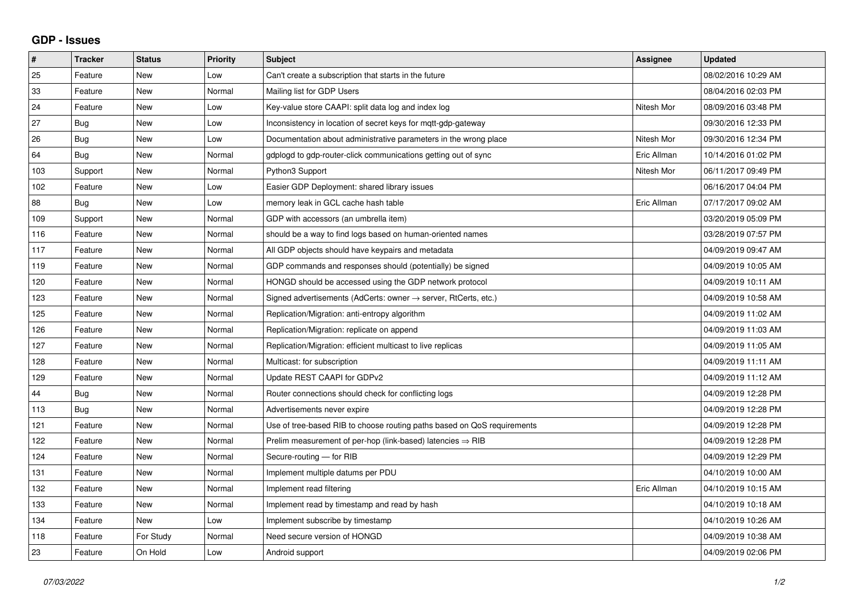## **GDP - Issues**

| $\pmb{\#}$ | <b>Tracker</b> | <b>Status</b> | <b>Priority</b> | <b>Subject</b>                                                          | Assignee    | <b>Updated</b>      |
|------------|----------------|---------------|-----------------|-------------------------------------------------------------------------|-------------|---------------------|
| 25         | Feature        | <b>New</b>    | Low             | Can't create a subscription that starts in the future                   |             | 08/02/2016 10:29 AM |
| 33         | Feature        | <b>New</b>    | Normal          | Mailing list for GDP Users                                              |             | 08/04/2016 02:03 PM |
| 24         | Feature        | New           | Low             | Key-value store CAAPI: split data log and index log                     | Nitesh Mor  | 08/09/2016 03:48 PM |
| 27         | <b>Bug</b>     | <b>New</b>    | Low             | Inconsistency in location of secret keys for mgtt-gdp-gateway           |             | 09/30/2016 12:33 PM |
| 26         | Bug            | <b>New</b>    | Low             | Documentation about administrative parameters in the wrong place        | Nitesh Mor  | 09/30/2016 12:34 PM |
| 64         | Bug            | New           | Normal          | gdplogd to gdp-router-click communications getting out of sync          | Eric Allman | 10/14/2016 01:02 PM |
| 103        | Support        | New           | Normal          | Python3 Support                                                         | Nitesh Mor  | 06/11/2017 09:49 PM |
| 102        | Feature        | <b>New</b>    | Low             | Easier GDP Deployment: shared library issues                            |             | 06/16/2017 04:04 PM |
| 88         | Bug            | New           | Low             | memory leak in GCL cache hash table                                     | Eric Allman | 07/17/2017 09:02 AM |
| 109        | Support        | <b>New</b>    | Normal          | GDP with accessors (an umbrella item)                                   |             | 03/20/2019 05:09 PM |
| 116        | Feature        | <b>New</b>    | Normal          | should be a way to find logs based on human-oriented names              |             | 03/28/2019 07:57 PM |
| 117        | Feature        | <b>New</b>    | Normal          | All GDP objects should have keypairs and metadata                       |             | 04/09/2019 09:47 AM |
| 119        | Feature        | <b>New</b>    | Normal          | GDP commands and responses should (potentially) be signed               |             | 04/09/2019 10:05 AM |
| 120        | Feature        | <b>New</b>    | Normal          | HONGD should be accessed using the GDP network protocol                 |             | 04/09/2019 10:11 AM |
| 123        | Feature        | <b>New</b>    | Normal          | Signed advertisements (AdCerts: owner → server, RtCerts, etc.)          |             | 04/09/2019 10:58 AM |
| 125        | Feature        | <b>New</b>    | Normal          | Replication/Migration: anti-entropy algorithm                           |             | 04/09/2019 11:02 AM |
| 126        | Feature        | <b>New</b>    | Normal          | Replication/Migration: replicate on append                              |             | 04/09/2019 11:03 AM |
| 127        | Feature        | <b>New</b>    | Normal          | Replication/Migration: efficient multicast to live replicas             |             | 04/09/2019 11:05 AM |
| 128        | Feature        | <b>New</b>    | Normal          | Multicast: for subscription                                             |             | 04/09/2019 11:11 AM |
| 129        | Feature        | <b>New</b>    | Normal          | Update REST CAAPI for GDPv2                                             |             | 04/09/2019 11:12 AM |
| 44         | <b>Bug</b>     | <b>New</b>    | Normal          | Router connections should check for conflicting logs                    |             | 04/09/2019 12:28 PM |
| 113        | <b>Bug</b>     | <b>New</b>    | Normal          | Advertisements never expire                                             |             | 04/09/2019 12:28 PM |
| 121        | Feature        | <b>New</b>    | Normal          | Use of tree-based RIB to choose routing paths based on QoS requirements |             | 04/09/2019 12:28 PM |
| 122        | Feature        | New           | Normal          | Prelim measurement of per-hop (link-based) latencies $\Rightarrow$ RIB  |             | 04/09/2019 12:28 PM |
| 124        | Feature        | <b>New</b>    | Normal          | Secure-routing - for RIB                                                |             | 04/09/2019 12:29 PM |
| 131        | Feature        | <b>New</b>    | Normal          | Implement multiple datums per PDU                                       |             | 04/10/2019 10:00 AM |
| 132        | Feature        | <b>New</b>    | Normal          | Implement read filtering                                                | Eric Allman | 04/10/2019 10:15 AM |
| 133        | Feature        | New           | Normal          | Implement read by timestamp and read by hash                            |             | 04/10/2019 10:18 AM |
| 134        | Feature        | New           | Low             | Implement subscribe by timestamp                                        |             | 04/10/2019 10:26 AM |
| 118        | Feature        | For Study     | Normal          | Need secure version of HONGD                                            |             | 04/09/2019 10:38 AM |
| 23         | Feature        | On Hold       | Low             | Android support                                                         |             | 04/09/2019 02:06 PM |